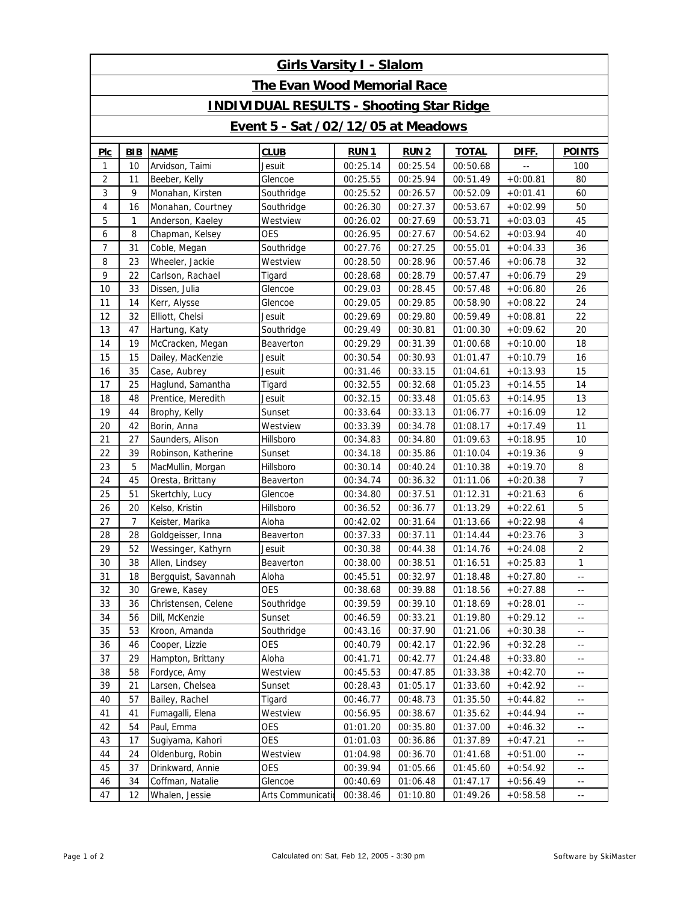| <b>Girls Varsity I - Slalom</b>                 |                |                     |                   |             |             |              |            |                            |  |  |  |  |  |
|-------------------------------------------------|----------------|---------------------|-------------------|-------------|-------------|--------------|------------|----------------------------|--|--|--|--|--|
| <b>The Evan Wood Memorial Race</b>              |                |                     |                   |             |             |              |            |                            |  |  |  |  |  |
| <b>INDIVIDUAL RESULTS - Shooting Star Ridge</b> |                |                     |                   |             |             |              |            |                            |  |  |  |  |  |
| <b>Event 5 - Sat /02/12/05 at Meadows</b>       |                |                     |                   |             |             |              |            |                            |  |  |  |  |  |
| <b>PIC</b>                                      | BIB            | <b>NAME</b>         | <b>CLUB</b>       | <b>RUN1</b> | <b>RUN2</b> | <b>TOTAL</b> | DIFF.      | <b>POINTS</b>              |  |  |  |  |  |
| 1                                               | 10             | Arvidson, Taimi     | Jesuit            | 00:25.14    | 00:25.54    | 00:50.68     |            | 100                        |  |  |  |  |  |
| $\overline{c}$                                  | 11             | Beeber, Kelly       | Glencoe           | 00:25.55    | 00:25.94    | 00:51.49     | $+0:00.81$ | 80                         |  |  |  |  |  |
| 3                                               | 9              | Monahan, Kirsten    | Southridge        | 00:25.52    | 00:26.57    | 00:52.09     | $+0:01.41$ | 60                         |  |  |  |  |  |
| 4                                               | 16             | Monahan, Courtney   | Southridge        | 00:26.30    | 00:27.37    | 00:53.67     | $+0:02.99$ | 50                         |  |  |  |  |  |
| 5                                               | $\mathbf{1}$   | Anderson, Kaeley    | Westview          | 00:26.02    | 00:27.69    | 00:53.71     | $+0:03.03$ | 45                         |  |  |  |  |  |
| 6                                               | 8              | Chapman, Kelsey     | <b>OES</b>        | 00:26.95    | 00:27.67    | 00:54.62     | $+0:03.94$ | 40                         |  |  |  |  |  |
| 7                                               | 31             | Coble, Megan        | Southridge        | 00:27.76    | 00:27.25    | 00:55.01     | $+0:04.33$ | 36                         |  |  |  |  |  |
| 8                                               | 23             | Wheeler, Jackie     | Westview          | 00:28.50    | 00:28.96    | 00:57.46     | $+0:06.78$ | 32                         |  |  |  |  |  |
| 9                                               | 22             | Carlson, Rachael    | Tigard            | 00:28.68    | 00:28.79    | 00:57.47     | $+0:06.79$ | 29                         |  |  |  |  |  |
| 10                                              | 33             | Dissen, Julia       | Glencoe           | 00:29.03    | 00:28.45    | 00:57.48     | $+0:06.80$ | 26                         |  |  |  |  |  |
| 11                                              | 14             | Kerr, Alysse        | Glencoe           | 00:29.05    | 00:29.85    | 00:58.90     | $+0:08.22$ | 24                         |  |  |  |  |  |
| 12                                              | 32             | Elliott, Chelsi     | Jesuit            | 00:29.69    | 00:29.80    | 00:59.49     | $+0:08.81$ | 22                         |  |  |  |  |  |
| 13                                              | 47             | Hartung, Katy       | Southridge        | 00:29.49    | 00:30.81    | 01:00.30     | $+0:09.62$ | 20                         |  |  |  |  |  |
| 14                                              | 19             | McCracken, Megan    | Beaverton         | 00:29.29    | 00:31.39    | 01:00.68     | $+0:10.00$ | 18                         |  |  |  |  |  |
| 15                                              | 15             | Dailey, MacKenzie   | Jesuit            | 00:30.54    | 00:30.93    | 01:01.47     | $+0:10.79$ | 16                         |  |  |  |  |  |
| 16                                              | 35             | Case, Aubrey        | Jesuit            | 00:31.46    | 00:33.15    | 01:04.61     | $+0:13.93$ | 15                         |  |  |  |  |  |
| 17                                              | 25             | Haglund, Samantha   | Tigard            | 00:32.55    | 00:32.68    | 01:05.23     | $+0:14.55$ | 14                         |  |  |  |  |  |
| 18                                              | 48             | Prentice, Meredith  | Jesuit            | 00:32.15    | 00:33.48    | 01:05.63     | $+0:14.95$ | 13                         |  |  |  |  |  |
| 19                                              | 44             | Brophy, Kelly       | Sunset            | 00:33.64    | 00:33.13    | 01:06.77     | $+0:16.09$ | 12                         |  |  |  |  |  |
| 20                                              | 42             | Borin, Anna         | Westview          | 00:33.39    | 00:34.78    | 01:08.17     | $+0:17.49$ | 11                         |  |  |  |  |  |
| 21                                              | 27             | Saunders, Alison    | Hillsboro         | 00:34.83    | 00:34.80    | 01:09.63     | $+0:18.95$ | 10                         |  |  |  |  |  |
| 22                                              | 39             | Robinson, Katherine | Sunset            | 00:34.18    | 00:35.86    | 01:10.04     | $+0:19.36$ | 9                          |  |  |  |  |  |
| 23                                              | 5              | MacMullin, Morgan   | Hillsboro         | 00:30.14    | 00:40.24    | 01:10.38     | $+0:19.70$ | 8                          |  |  |  |  |  |
| 24                                              | 45             | Oresta, Brittany    | Beaverton         | 00:34.74    | 00:36.32    | 01:11.06     | $+0:20.38$ | $\overline{7}$             |  |  |  |  |  |
| 25                                              | 51             | Skertchly, Lucy     | Glencoe           | 00:34.80    | 00:37.51    | 01:12.31     | $+0:21.63$ | 6                          |  |  |  |  |  |
| 26                                              | 20             | Kelso, Kristin      | Hillsboro         | 00:36.52    | 00:36.77    | 01:13.29     | $+0:22.61$ | 5                          |  |  |  |  |  |
| 27                                              | $\overline{7}$ | Keister, Marika     | Aloha             | 00:42.02    | 00:31.64    | 01:13.66     | $+0:22.98$ | $\overline{4}$             |  |  |  |  |  |
| 28                                              | 28             | Goldgeisser, Inna   | Beaverton         | 00:37.33    | 00:37.11    | 01:14.44     | $+0:23.76$ | $\mathfrak{Z}$             |  |  |  |  |  |
| 29                                              | 52             | Wessinger, Kathyrn  | Jesuit            | 00:30.38    | 00:44.38    | 01:14.76     | $+0:24.08$ | $\overline{2}$             |  |  |  |  |  |
| 30                                              | 38             | Allen, Lindsey      | Beaverton         | 00:38.00    | 00:38.51    | 01:16.51     | $+0:25.83$ | 1                          |  |  |  |  |  |
| 31                                              | 18             | Bergquist, Savannah | Aloha             | 00:45.51    | 00:32.97    | 01:18.48     | $+0:27.80$ | н,                         |  |  |  |  |  |
| 32                                              | 30             | Grewe, Kasey        | <b>OES</b>        | 00:38.68    | 00:39.88    | 01:18.56     | $+0:27.88$ | н,                         |  |  |  |  |  |
| 33                                              | 36             | Christensen, Celene | Southridge        | 00:39.59    | 00:39.10    | 01:18.69     | $+0.28.01$ | н,                         |  |  |  |  |  |
| 34                                              | 56             | Dill, McKenzie      | Sunset            | 00:46.59    | 00:33.21    | 01:19.80     | $+0:29.12$ | $\overline{\phantom{a}}$ . |  |  |  |  |  |
| 35                                              | 53             | Kroon, Amanda       | Southridge        | 00:43.16    | 00:37.90    | 01:21.06     | $+0:30.38$ | $\overline{\phantom{a}}$   |  |  |  |  |  |
| 36                                              | 46             | Cooper, Lizzie      | <b>OES</b>        | 00:40.79    | 00:42.17    | 01:22.96     | $+0:32.28$ | $\overline{\phantom{a}}$ . |  |  |  |  |  |
| 37                                              | 29             | Hampton, Brittany   | Aloha             | 00:41.71    | 00:42.77    | 01:24.48     | $+0:33.80$ | $\overline{\phantom{a}}$   |  |  |  |  |  |
| 38                                              | 58             | Fordyce, Amy        | Westview          | 00:45.53    | 00:47.85    | 01:33.38     | $+0:42.70$ | $\overline{\phantom{a}}$ . |  |  |  |  |  |
| 39                                              | 21             | Larsen, Chelsea     | Sunset            | 00:28.43    | 01:05.17    | 01:33.60     | $+0:42.92$ | $\overline{\phantom{a}}$   |  |  |  |  |  |
| 40                                              | 57             | Bailey, Rachel      | Tigard            | 00:46.77    | 00:48.73    | 01:35.50     | $+0:44.82$ | $\overline{\phantom{a}}$ . |  |  |  |  |  |
| 41                                              | 41             | Fumagalli, Elena    | Westview          | 00:56.95    | 00:38.67    | 01:35.62     | $+0:44.94$ | $\overline{\phantom{a}}$   |  |  |  |  |  |
| 42                                              | 54             | Paul, Emma          | OES               | 01:01.20    | 00:35.80    | 01:37.00     | $+0:46.32$ | $\overline{\phantom{a}}$ . |  |  |  |  |  |
| 43                                              | 17             | Sugiyama, Kahori    | OES               | 01:01.03    | 00:36.86    | 01:37.89     | $+0:47.21$ | $\overline{\phantom{a}}$   |  |  |  |  |  |
| 44                                              | 24             | Oldenburg, Robin    | Westview          | 01:04.98    | 00:36.70    | 01:41.68     | $+0:51.00$ | $\overline{\phantom{a}}$ . |  |  |  |  |  |
| 45                                              | 37             | Drinkward, Annie    | OES               | 00:39.94    | 01:05.66    | 01:45.60     | $+0:54.92$ | $\overline{\phantom{a}}$   |  |  |  |  |  |
| 46                                              | 34             | Coffman, Natalie    | Glencoe           | 00:40.69    | 01:06.48    | 01:47.17     | $+0:56.49$ | $\overline{\phantom{a}}$   |  |  |  |  |  |
| 47                                              | 12             | Whalen, Jessie      | Arts Communicatio | 00:38.46    | 01:10.80    | 01:49.26     | $+0.58.58$ | $\overline{\phantom{a}}$   |  |  |  |  |  |